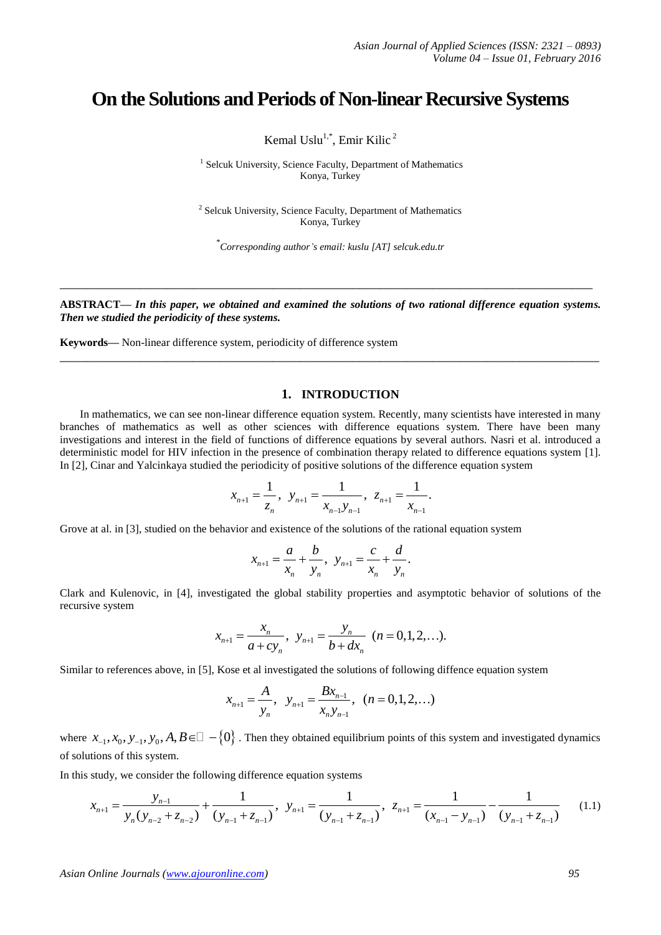# **On the Solutions and Periods of Non-linear Recursive Systems**

Kemal Uslu $^{1,*}$ , Emir Kilic<sup>2</sup>

<sup>1</sup> Selcuk University, Science Faculty, Department of Mathematics Konya, Turkey

<sup>2</sup> Selcuk University, Science Faculty, Department of Mathematics Konya, Turkey

\* *Corresponding author's email: kuslu [AT] selcuk.edu.tr*

**ABSTRACT—** *In this paper, we obtained and examined the solutions of two rational difference equation systems. Then we studied the periodicity of these systems.*

**\_\_\_\_\_\_\_\_\_\_\_\_\_\_\_\_\_\_\_\_\_\_\_\_\_\_\_\_\_\_\_\_\_\_\_\_\_\_\_\_\_\_\_\_\_\_\_\_\_\_\_\_\_\_\_\_\_\_\_\_\_\_\_\_\_\_\_\_\_\_\_\_\_\_\_\_\_\_\_\_\_**

**\_\_\_\_\_\_\_\_\_\_\_\_\_\_\_\_\_\_\_\_\_\_\_\_\_\_\_\_\_\_\_\_\_\_\_\_\_\_\_\_\_\_\_\_\_\_\_\_\_\_\_\_\_\_\_\_\_\_\_\_\_\_\_\_\_\_\_\_\_\_\_\_\_\_\_\_\_\_\_\_**

**Keywords—** Non-linear difference system, periodicity of difference system

### **1. INTRODUCTION**

In mathematics, we can see non-linear difference equation system. Recently, many scientists have interested in many branches of mathematics as well as other sciences with difference equations system. There have been many investigations and interest in the field of functions of difference equations by several authors. Nasri et al. introduced a deterministic model for HIV infection in the presence of combination therapy related to difference equations system [1]. In [2], Cinar and Yalcinkaya studied the periodicity of positive solutions of the difference equation system<br>  $x_{-1} = \frac{1}{x_{-1}}$ ,  $y_{-1} = \frac{1}{x_{-1}}$ ,  $z_{-1} = \frac{1}{x_{-1}}$ 

$$
x_{n+1} = \frac{1}{z_n}
$$
,  $y_{n+1} = \frac{1}{x_{n-1}y_{n-1}}$ ,  $z_{n+1} = \frac{1}{x_{n-1}}$ .

Grove at al. in [3], studied on the behavior and existence of the solutions of the rational equation system

$$
x_{n+1} = \frac{a}{x_n} + \frac{b}{y_n}, \ \ y_{n+1} = \frac{c}{x_n} + \frac{d}{y_n}.
$$

Clark and Kulenovic, in [4], investigated the global stability properties and asymptotic behavior of solutions of the recursive system

$$
x_{n+1} = \frac{x_n}{a + cy_n}, \ \ y_{n+1} = \frac{y_n}{b + dx_n} \ \ (n = 0, 1, 2, \ldots).
$$

Similar to references above, in [5], Kose et al investigated the solutions of following diffence equation system<br> $X_{\text{max}} = \frac{A}{2}$ ,  $Y_{\text{max}} = \frac{Bx_{n-1}}{(n-1)(2)}$ 

$$
x_{n+1} = \frac{A}{y_n}
$$
,  $y_{n+1} = \frac{Bx_{n-1}}{x_n y_{n-1}}$ ,  $(n = 0, 1, 2, ...)$ 

where  $x_1, x_0, y_1, y_0, A, B \in \square -\{0\}$ . Then they obtained equilibrium points of this system and investigated dynamics of solutions of this system.

In this study, we consider the following difference equation systems

$$
x_{-1}, x_0, y_{-1}, y_0, A, B \in \square - \{0\}.
$$
 Then they obtained equilibrium points of this system and investigated dynamics  
ations of this system.  
study, we consider the following difference equation systems  

$$
x_{n+1} = \frac{y_{n-1}}{y_n(y_{n-2} + z_{n-2})} + \frac{1}{(y_{n-1} + z_{n-1})}, y_{n+1} = \frac{1}{(y_{n-1} + z_{n-1})}, z_{n+1} = \frac{1}{(x_{n-1} - y_{n-1})} - \frac{1}{(y_{n-1} + z_{n-1})}
$$
(1.1)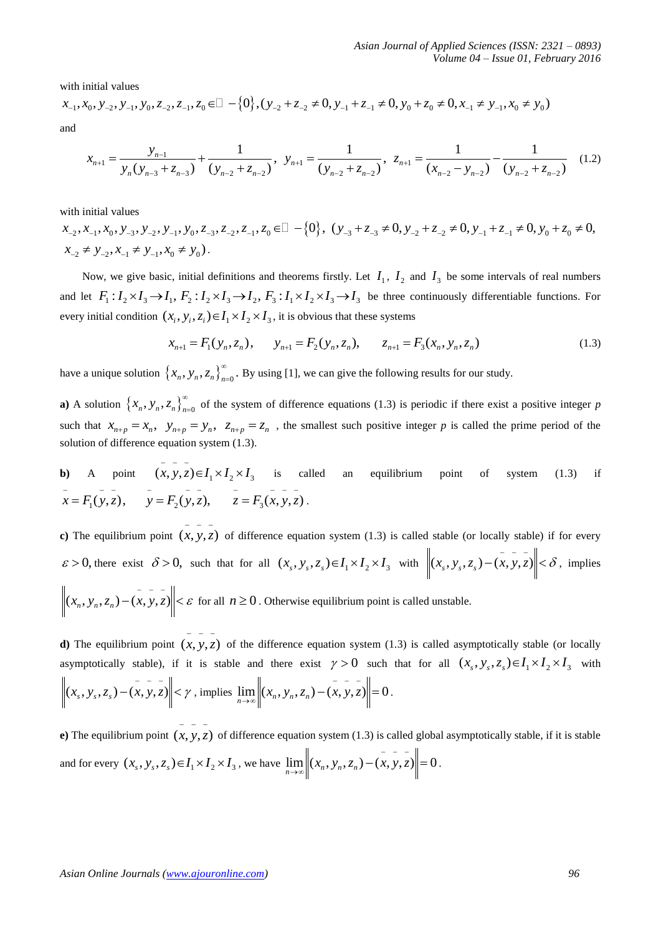with initial values

Asian Journal of Applied Sciences (ISSN: 2321 – 0893)

\nNotume 04 – Issue 01, February 2016

\nwith initial values

\n
$$
x_{-1}, x_0, y_{-2}, y_{-1}, y_0, z_{-2}, z_{-1}, z_0 \in \mathbb{Z} \setminus \{0\}, (y_{-2} + z_{-2} \neq 0, y_{-1} + z_{-1} \neq 0, y_0 + z_0 \neq 0, x_{-1} \neq y_{-1}, x_0 \neq y_0)
$$
\nand

\n
$$
x_{n+1} = \frac{y_{n-1}}{y_{n-1}} + \frac{1}{(y_{n-1}-y_{n-1})}, y_{n+1} = \frac{1}{(y_{n-1}-y_{n-1})}, z_{n+1} = \frac{1}{(y_{n-1}-y_{n-1})} - \frac{1}{(y_{n-1}-y_{n-1})}
$$
\n(1.2)

$$
x_{0}, y_{-2}, y_{-1}, y_{0}, z_{-2}, z_{-1}, z_{0} \in \mathbb{Z} - \{0\}, (y_{-2} + z_{-2} \neq 0, y_{-1} + z_{-1} \neq 0, y_{0} + z_{0} \neq 0, x_{-1} \neq y_{-1}, x_{0} \neq y_{0})
$$
  

$$
x_{n+1} = \frac{y_{n-1}}{y_{n}(y_{n-3} + z_{n-3})} + \frac{1}{(y_{n-2} + z_{n-2})}, y_{n+1} = \frac{1}{(y_{n-2} + z_{n-2})}, z_{n+1} = \frac{1}{(x_{n-2} - y_{n-2})} - \frac{1}{(y_{n-2} + z_{n-2})}
$$
(1.2)

with initial values

 $x_1, x_2, x_3, x_4, x_5, y_1, y_2, y_3, y_4, y_2, y_3, z_4, z_5, z_6 \in \mathbb{R} \setminus \{0\}, \ (y_{-3} + z_{-3} \neq 0, y_1 + z_{-2} \neq 0, y_1 + z_{-1} \neq 0, y_0 + z_0 \neq 0, y_1 + z_1 \neq 0, y_1 + z_2 \neq 0, y_1 + z_1 \neq 0, y_2 + z_2 \neq 0, y_3 + z_3 \neq 0, y_4 + z_4 \neq 0, y_4 + z_4 \ne$  $x_{-2} \neq y_{-2}, x_{-1} \neq y_{-1}, x_0 \neq y_0$ .

Now, we give basic, initial definitions and theorems firstly. Let  $I_1$ ,  $I_2$  and  $I_3$  be some intervals of real numbers and let  $F_1: I_2 \times I_3 \rightarrow I_1$ ,  $F_2: I_2 \times I_3 \rightarrow I_2$ ,  $F_3: I_1 \times I_2 \times I_3 \rightarrow I_3$  be three continuously d and let  $F_1: I_2 \times I_3 \to I_1$ ,  $F_2: I_2 \times I_3 \to I_2$ ,  $F_3: I_1 \times I_2 \times I_3 \to I_3$  be three continuously differentiable functions. For every initial condition  $(x_i, y_i, z_i) \in I_1 \times I_2 \times I_3$ , it is obvious that these systems<br>  $x_{n+1} = F_1(y_n, z_n), \qquad y_{n+1} = F_2(y_n, z_n), \qquad z_{n+1} = F_3(x_n, y_n, z_n)$  (1.3)

$$
x_{n+1} = F_1(y_n, z_n), \qquad y_{n+1} = F_2(y_n, z_n), \qquad z_{n+1} = F_3(x_n, y_n, z_n)
$$
 (1.3)

have a unique solution  $\{x_n, y_n, z_n\}_{n=0}^{\infty}$  $\int_{-0}^{1}$ . By using [1], we can give the following results for our study.

**a**) A solution  $\{x_n, y_n, z_n\}_{n=0}^{\infty}$  $_{=0}$  of the system of difference equations (1.3) is periodic if there exist a positive integer *p* such that  $x_{n+p} = x_n$ ,  $y_{n+p} = y_n$ ,  $z_{n+p} = z_n$ , the smallest such positive integer *p* is called the prime period of the solution of difference equation system (1.3).

**b**) A point  $(x, y, z) \in I_1 \times I_2 \times I_3$  is called an equilibrium point of system (1.3) if 1) A point  $(x, y, z) \in I_1 \times I_2 \times I_3$  is called<br>  $\overline{x} = F_1(y, z), \quad \overline{y} = F_2(y, z), \quad \overline{z} = F_3(x, y, z).$ 

**c**) The equilibrium point  $(x, y, z)$ of difference equation system (1.3) is called stable (or locally stable) if for every  $\varepsilon > 0$ , there exist  $\delta > 0$ , such that for all  $(x_s, y_s, z_s) \in I_1 \times I_2 \times I_3$  with  $\left\|(x_s, y_s, z_s) - (x, y, z)\right\| < \delta$ , implies  $(x_n, y_n, z_n) - (x, y, z)$   $\leq \varepsilon$  for all  $n \geq 0$ . Otherwise equilibrium point is called unstable.

**d**) The equilibrium point  $(x, y, z)$  of the difference equation system (1.3) is called asymptotically stable (or locally  $$ asymptotically stable), if it is stable and there exist  $\gamma > 0$  such that for all  $(x_s, y_s, z_s) \in I_1 \times I_2 \times I_3$  with  $(x_s, y_s, z_s) - (x, y, z)$   $\leq \gamma$ , implies  $\lim_{n \to \infty}$   $\left\| (x_n, y_n, z_n) - (x, y, z) \right\| = 0$  $\lim_{n \to \infty}$   $\left\|(x_n, y_n, z_n) - (x, y, z)\right\| = 0.$ 

**e**) The equilibrium point  $(x, y, z)$ of difference equation system (1.3) is called global asymptotically stable, if it is stable and for every  $(x_s, y_s, z_s) \in I_1 \times I_2 \times I_3$ , we have  $\lim_{n \to \infty} \left\| (x_n, y_n, z_n) - (x, y, z) \right\| = 0$  $\lim_{n \to \infty}$   $\left\| (x_n, y_n, z_n) - (x, y, z) \right\| = 0.$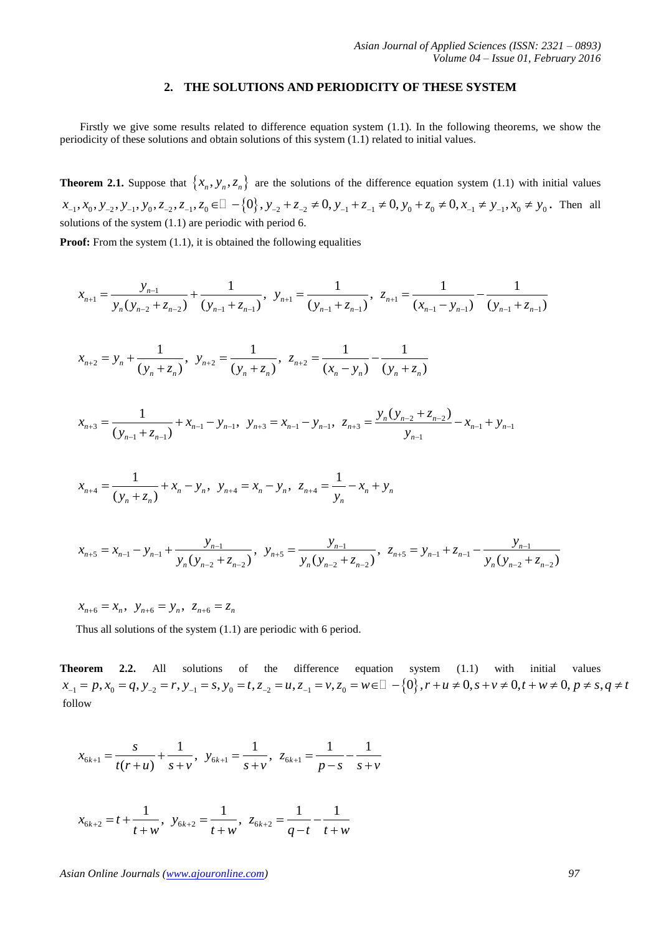#### **2. THE SOLUTIONS AND PERIODICITY OF THESE SYSTEM**

Firstly we give some results related to difference equation system (1.1). In the following theorems, we show the periodicity of these solutions and obtain solutions of this system (1.1) related to initial values.

**Theorem 2.1.** Suppose that  $\{x_n, y_n, z_n\}$  are the solutions of the difference equation system (1.1) with initial values  $x_{-1}, x_0, y_{-2}, y_{-1}, y_0, z_{-2}, z_{-1}, z_0 \in \mathbb{Z} \to \{0\}$ ,  $y_{-2} + z_{-2} \neq 0$ ,  $y_{-1} + z_{-1} \neq 0$ ,  $y_0 + z_0 \neq 0$ ,  $x_{-1} \neq y_{-1}, x_0 \neq y_0$ . Then all solutions of the system (1.1) are periodic with period 6.

Proof: From the system (1.1), it is obtained the following equalities  

$$
x_{n+1} = \frac{y_{n-1}}{y_n(y_{n-2} + z_{n-2})} + \frac{1}{(y_{n-1} + z_{n-1})}, \ y_{n+1} = \frac{1}{(y_{n-1} + z_{n-1})}, \ z_{n+1} = \frac{1}{(x_{n-1} - y_{n-1})} - \frac{1}{(y_{n-1} + z_{n-1})}
$$

$$
y_n(y_{n-2} + z_{n-2}) \quad (y_{n-1} + z_{n-1}) \quad (y_{n-1} + z_{n-1}) \quad (x_{n-1} - y_n)
$$
  

$$
x_{n+2} = y_n + \frac{1}{(y_n + z_n)}, \quad y_{n+2} = \frac{1}{(y_n + z_n)}, \quad z_{n+2} = \frac{1}{(x_n - y_n)} - \frac{1}{(y_n + z_n)}
$$

$$
x_{n+2} - y_n + \frac{1}{(y_n + z_n)}, \ y_{n+2} - \frac{1}{(y_n + z_n)}, \ z_{n+2} - \frac{1}{(x_n - y_n)} - \frac{1}{(y_n + z_n)}
$$
  

$$
x_{n+3} = \frac{1}{(y_{n-1} + z_{n-1})} + x_{n-1} - y_{n-1}, \ y_{n+3} = x_{n-1} - y_{n-1}, \ z_{n+3} = \frac{y_n(y_{n-2} + z_{n-2})}{y_{n-1}} - x_{n-1} + y_{n-1}
$$

$$
x_{n+4} = \frac{1}{(y_n + z_n)} + x_n - y_n, \ \ y_{n+4} = x_n - y_n, \ \ z_{n+4} = \frac{1}{y_n} - x_n + y_n
$$

$$
x_{n+4} = \frac{1}{(y_n + z_n)} + x_n - y_n, \quad y_{n+4} = x_n - y_n, \quad z_{n+4} = \frac{1}{y_n} - x_n + y_n
$$
  

$$
x_{n+5} = x_{n-1} - y_{n-1} + \frac{y_{n-1}}{y_n(y_{n-2} + z_{n-2})}, \quad y_{n+5} = \frac{y_{n-1}}{y_n(y_{n-2} + z_{n-2})}, \quad z_{n+5} = y_{n-1} + z_{n-1} - \frac{y_{n-1}}{y_n(y_{n-2} + z_{n-2})}
$$

 $x_{n+6} = x_n, \ y_{n+6} = y_n, \ z_{n+6} = z_n$ 

Thus all solutions of the system (1.1) are periodic with 6 period.

**Theorem 2.2.** All solutions of the difference equation system (1.1) with initial values Thus all solutions of the system (1.1) are periodic with 6 period.<br> **Theorem** 2.2. All solutions of the difference equation system (1.1) with initial values<br>  $x_{-1} = p$ ,  $x_0 = q$ ,  $y_{-2} = r$ ,  $y_{-1} = s$ ,  $y_0 = t$ ,  $z_{-2} = u$ , follow

$$
x_{6k+1} = \frac{s}{t(r+u)} + \frac{1}{s+v}, \ \ y_{6k+1} = \frac{1}{s+v}, \ \ z_{6k+1} = \frac{1}{p-s} - \frac{1}{s+v}
$$

$$
x_{6k+2} = t + \frac{1}{t+w}
$$
,  $y_{6k+2} = \frac{1}{t+w}$ ,  $z_{6k+2} = \frac{1}{q-t} - \frac{1}{t+w}$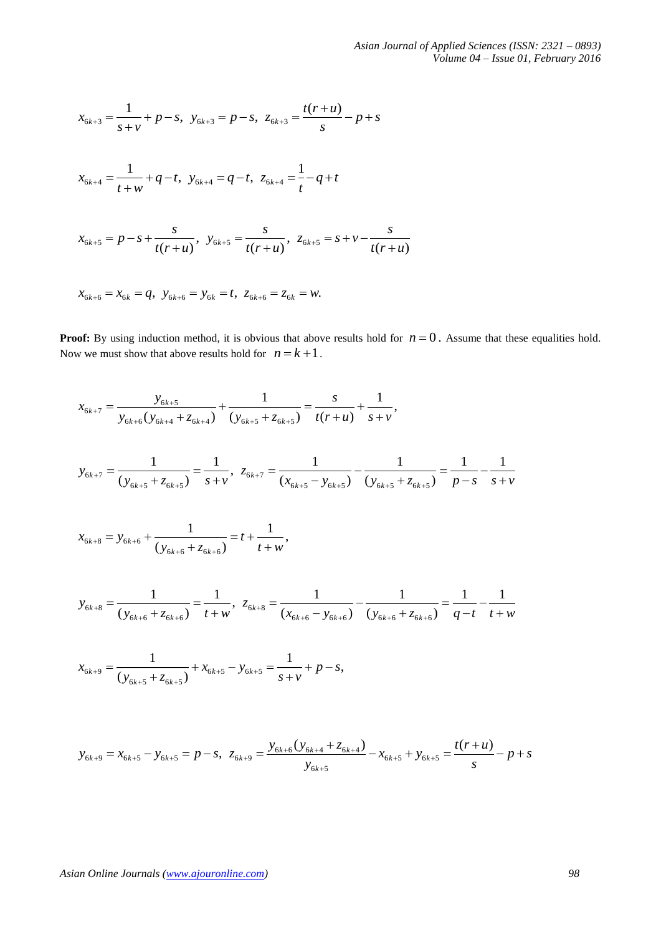$$
x_{6k+3} = \frac{1}{s+v} + p - s, \ y_{6k+3} = p - s, \ z_{6k+3} = \frac{t(r+u)}{s} - p + s
$$

$$
x_{6k+4} = \frac{1}{t+w} + q - t, \ \ y_{6k+4} = q - t, \ \ z_{6k+4} = \frac{1}{t} - q + t
$$

$$
t + w
$$
  

$$
x_{6k+5} = p - s + \frac{s}{t(r+u)}, \quad y_{6k+5} = \frac{s}{t(r+u)}, \quad z_{6k+5} = s + v - \frac{s}{t(r+u)}
$$

 $x_{6k+6} = x_{6k} = q$ ,  $y_{6k+6} = y_{6k} = t$ ,  $z_{6k+6} = z_{6k} = w$ .

**Proof:** By using induction method, it is obvious that above results hold for  $n = 0$ . Assume that these equalities hold. Now we must show that above results hold for  $n = k + 1$ .

$$
x_{6k+7} = \frac{y_{6k+5}}{y_{6k+6}(y_{6k+4} + z_{6k+4})} + \frac{1}{(y_{6k+5} + z_{6k+5})} = \frac{s}{t(r+u)} + \frac{1}{s+v},
$$

$$
x_{6k+7} = \frac{1}{y_{6k+6}(y_{6k+4} + z_{6k+4})} + \frac{1}{(y_{6k+5} + z_{6k+5})} = \frac{1}{t(r+u)} + \frac{1}{s+v},
$$
  

$$
y_{6k+7} = \frac{1}{(y_{6k+5} + z_{6k+5})} = \frac{1}{s+v}, \ z_{6k+7} = \frac{1}{(x_{6k+5} - y_{6k+5})} - \frac{1}{(y_{6k+5} + z_{6k+5})} = \frac{1}{p-s} - \frac{1}{s+v}
$$

$$
x_{6k+8} = y_{6k+6} + \frac{1}{(y_{6k+6} + z_{6k+6})} = t + \frac{1}{t+w},
$$

$$
y_{6k+8} = \frac{1}{(y_{6k+6} + z_{6k+6})} = \frac{1}{t+w}, \ z_{6k+8} = \frac{1}{(x_{6k+6} - y_{6k+6})} - \frac{1}{(y_{6k+6} + z_{6k+6})} = \frac{1}{q-t} - \frac{1}{t+w}
$$

$$
x_{6k+9} = \frac{1}{(y_{6k+5} + z_{6k+5})} + x_{6k+5} - y_{6k+5} = \frac{1}{s+v} + p - s,
$$

$$
y_{6k+9} = x_{6k+5} - y_{6k+5} = p - s, \ z_{6k+9} = \frac{y_{6k+6}(y_{6k+4} + z_{6k+4})}{y_{6k+5}} - x_{6k+5} + y_{6k+5} = \frac{t(r+u)}{s} - p + s
$$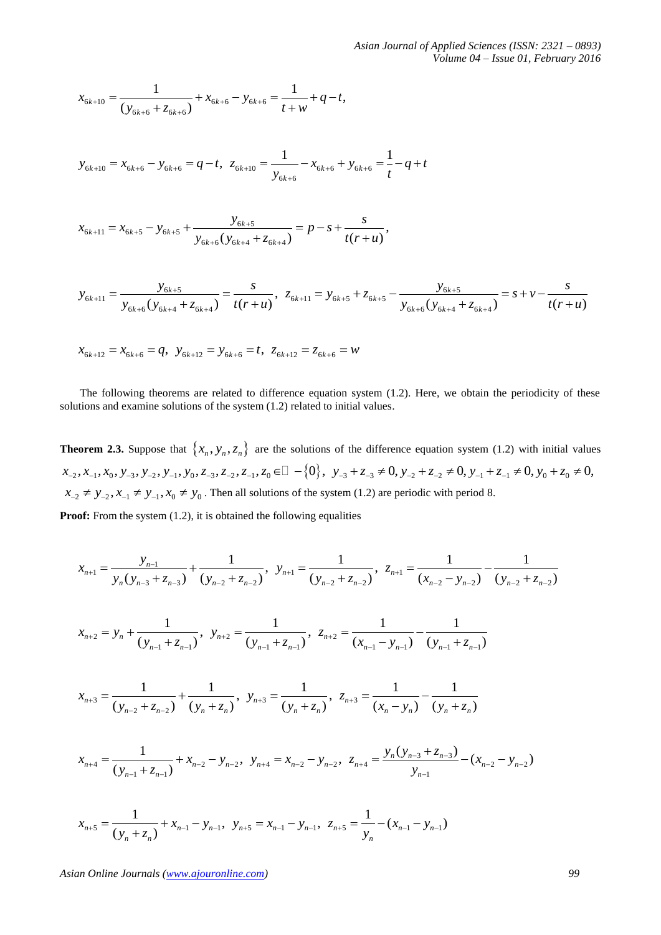*Asian Journal of Applied Sciences (ISSN: 2321 – 0893) Volume 04 – Issue 01, February 2016*

$$
x_{6k+10} = \frac{1}{(y_{6k+6} + z_{6k+6})} + x_{6k+6} - y_{6k+6} = \frac{1}{t+w} + q - t,
$$

$$
y_{6k+10} = x_{6k+6} - y_{6k+6} = q - t, \ \ z_{6k+10} = \frac{1}{y_{6k+6}} - x_{6k+6} + y_{6k+6} = \frac{1}{t} - q + t
$$

$$
x_{6k+11} = x_{6k+5} - y_{6k+5} + \frac{y_{6k+5}}{y_{6k+6}(y_{6k+4} + z_{6k+4})} = p - s + \frac{s}{t(r+u)},
$$

$$
x_{6k+11} = x_{6k+5} - y_{6k+5} + \frac{y_{6k+5}}{y_{6k+6}(y_{6k+4} + z_{6k+4})} = p - s + \frac{s}{t(r+u)},
$$
  

$$
y_{6k+11} = \frac{y_{6k+5}}{y_{6k+6}(y_{6k+4} + z_{6k+4})} = \frac{s}{t(r+u)}, \ z_{6k+11} = y_{6k+5} + z_{6k+5} - \frac{y_{6k+5}}{y_{6k+6}(y_{6k+4} + z_{6k+4})} = s + v - \frac{s}{t(r+u)}
$$

$$
x_{6k+12} = x_{6k+6} = q, \ \ y_{6k+12} = y_{6k+6} = t, \ \ z_{6k+12} = z_{6k+6} = w
$$

The following theorems are related to difference equation system (1.2). Here, we obtain the periodicity of these solutions and examine solutions of the system (1.2) related to initial values.

**Theorem 2.3.** Suppose that  $\{x_n, y_n, z_n\}$  are the solutions of the difference equation system (1.2) with initial values **Theorem 2.3.** Suppose that  $\{x_n, y_n, z_n\}$  are the solutions of the difference equation system (1.2) with initial values  $x_{-2}, x_{-1}, x_0, y_{-3}, y_{-2}, y_{-1}, y_0, z_{-3}, z_{-2}, z_{-1}, z_0 \in \mathbb{Z} - \{0\}$ ,  $y_{-3} + z_{-3} \neq 0$ ,  $y_{-2} + z_{-2$  $x_{-2} \neq y_{-2}, x_{-1} \neq y_{-1}, x_0 \neq y_0$ . Then all solutions of the system (1.2) are periodic with period 8.

Proof: From the system (1.2), it is obtained the following equalities  
\n
$$
x_{n+1} = \frac{y_{n-1}}{y_n(y_{n-3} + z_{n-3})} + \frac{1}{(y_{n-2} + z_{n-2})}, y_{n+1} = \frac{1}{(y_{n-2} + z_{n-2})}, z_{n+1} = \frac{1}{(x_{n-2} - y_{n-2})} - \frac{1}{(y_{n-2} + z_{n-2})}
$$
\n
$$
x_{n+2} = y_n + \frac{1}{(y_{n-1} + z_{n-1})}, y_{n+2} = \frac{1}{(y_{n-1} + z_{n-1})}, z_{n+2} = \frac{1}{(x_{n-1} - y_{n-1})} - \frac{1}{(y_{n-1} + z_{n-1})}
$$
\n
$$
x_{n+3} = \frac{1}{(y_{n-2} + z_{n-2})} + \frac{1}{(y_n + z_n)}, y_{n+3} = \frac{1}{(y_n + z_n)}, z_{n+3} = \frac{1}{(x_n - y_n)} - \frac{1}{(y_n + z_n)}
$$
\n
$$
x_{n+4} = \frac{1}{(y_{n-1} + z_{n-1})} + x_{n-2} - y_{n-2}, y_{n+4} = x_{n-2} - y_{n-2}, z_{n+4} = \frac{y_n(y_{n-3} + z_{n-3})}{y_{n-1}} - (x_{n-2} - y_{n-2})
$$

$$
x_{n+4} = \frac{1}{(y_{n-1} + z_{n-1})} + x_{n-2} - y_{n-2}, \quad y_{n+4} = x_{n-2} - y_{n-2}, \quad z_{n+4} = \frac{y_n (y_{n-3} + z_{n-3})}{y_{n-1}} - (x_{n-2} - y_{n-2})
$$

$$
(y_{n-1} + z_{n-1}) \t y_{n-1}
$$
  

$$
x_{n+5} = \frac{1}{(y_n + z_n)} + x_{n-1} - y_{n-1}, \ y_{n+5} = x_{n-1} - y_{n-1}, \ z_{n+5} = \frac{1}{y_n} - (x_{n-1} - y_{n-1})
$$

*Asian Online Journals (www.ajouronline.com) 99*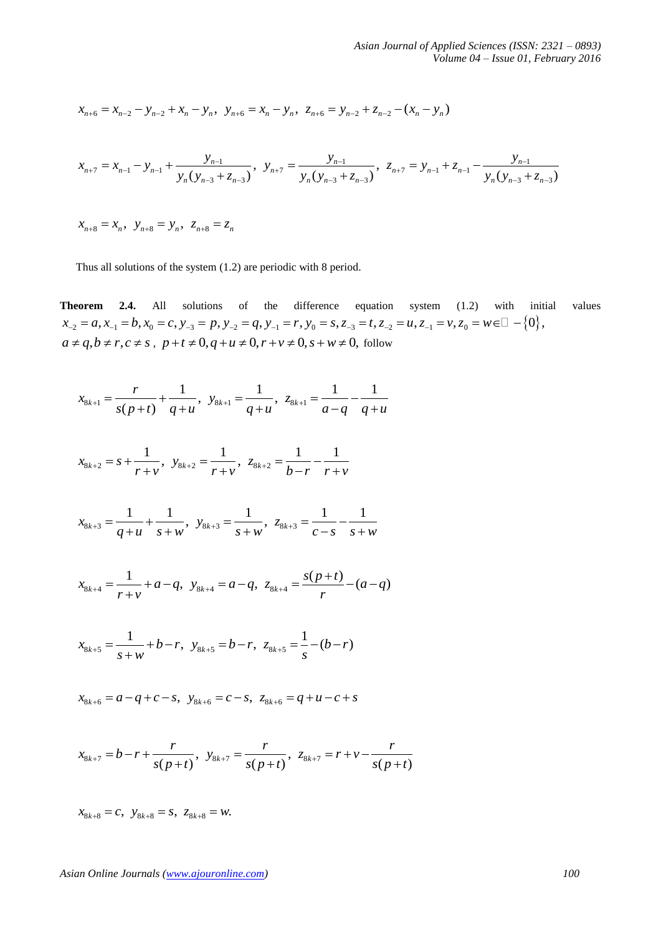$$
x_{n+6} = x_{n-2} - y_{n-2} + x_n - y_n, \ \ y_{n+6} = x_n - y_n, \ \ z_{n+6} = y_{n-2} + z_{n-2} - (x_n - y_n)
$$

$$
x_{n+6} = x_{n-2} - y_{n-2} + x_n - y_n, \quad y_{n+6} = x_n - y_n, \quad z_{n+6} = y_{n-2} + z_{n-2} - (x_n - y_n)
$$
  

$$
x_{n+7} = x_{n-1} - y_{n-1} + \frac{y_{n-1}}{y_n(y_{n-3} + z_{n-3})}, \quad y_{n+7} = \frac{y_{n-1}}{y_n(y_{n-3} + z_{n-3})}, \quad z_{n+7} = y_{n-1} + z_{n-1} - \frac{y_{n-1}}{y_n(y_{n-3} + z_{n-3})}
$$

 $x_{n+8} = x_n, \ \ y_{n+8} = y_n, \ \ z_{n+8} = z_n$ 

Thus all solutions of the system (1.2) are periodic with 8 period.

**Theorem 2.4.** All solutions of the difference equation system (1.2) with initial values  $x_{-2} = a, x_{-1} = b, x_0 = c, y_{-3} = p, y_{-2} = q, y_{-1} = r, y_0 = s, z_{-3} = t, z_{-2} = u, z_{-1} = v, z_0 = w \in \mathbb{R} \setminus \{0\},\$  $x_{-2} = a, x_{-1} = b, x_0 = c, y_{-3} = p, y_{-2} = q, y_{-1} = r, y_0 = s, z_{-3} = t, z_{-2}$ <br>  $a \neq q, b \neq r, c \neq s, p+t \neq 0, q+u \neq 0, r+v \neq 0, s+w \neq 0$ , follow

$$
x_{8k+1} = \frac{r}{s(p+t)} + \frac{1}{q+u}, \ \ y_{8k+1} = \frac{1}{q+u}, \ \ z_{8k+1} = \frac{1}{a-q} - \frac{1}{q+u}
$$

$$
x_{8k+2} = s + \frac{1}{r+v}, \quad y_{8k+2} = \frac{1}{r+v}, \quad z_{8k+2} = \frac{1}{b-r} - \frac{1}{r+v}
$$

$$
x_{8k+3} = \frac{1}{q+u} + \frac{1}{s+w}, \ y_{8k+3} = \frac{1}{s+w}, \ z_{8k+3} = \frac{1}{c-s} - \frac{1}{s+w}
$$

$$
x_{8k+4} = \frac{1}{r+v} + a - q, \ y_{8k+4} = a - q, \ z_{8k+4} = \frac{s(p+t)}{r} - (a-q)
$$

$$
x_{8k+5} = \frac{1}{s+w} + b-r, \ \ y_{8k+5} = b-r, \ \ z_{8k+5} = \frac{1}{s} - (b-r)
$$

$$
x_{8k+6} = a - q + c - s
$$
,  $y_{8k+6} = c - s$ ,  $z_{8k+6} = q + u - c + s$ 

$$
x_{8k+7} = b - r + \frac{r}{s(p+t)}, \ y_{8k+7} = \frac{r}{s(p+t)}, \ z_{8k+7} = r + v - \frac{r}{s(p+t)}
$$

 $x_{8k+8} = c$ ,  $y_{8k+8} = s$ ,  $z_{8k+8} = w$ .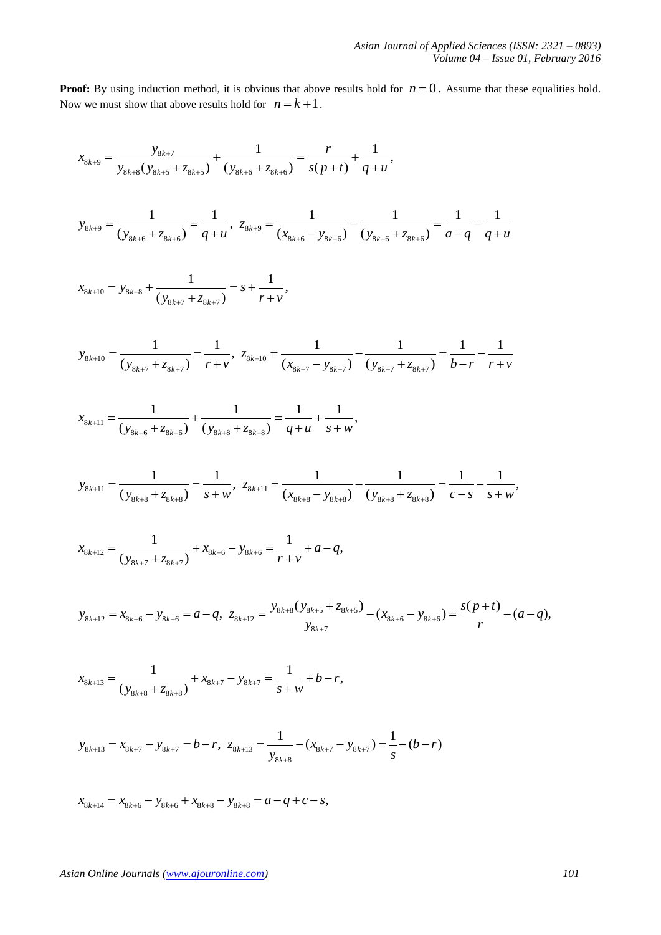**Proof:** By using induction method, it is obvious that above results hold for  $n = 0$ . Assume that these equalities hold. Now we must show that above results hold for  $n = k + 1$ .

$$
x_{8k+9} = \frac{y_{8k+7}}{y_{8k+8}(y_{8k+5} + z_{8k+5})} + \frac{1}{(y_{8k+6} + z_{8k+6})} = \frac{r}{s(p+t)} + \frac{1}{q+u},
$$
  

$$
y_{8k+9} = \frac{1}{(y_{8k+6} + z_{8k+6})} = \frac{1}{q+u}, \ z_{8k+9} = \frac{1}{(x_{8k+6} - y_{8k+6})} - \frac{1}{(y_{8k+6} + z_{8k+6})} = \frac{1}{a-q} - \frac{1}{q+u}
$$

$$
x_{8k+10} = y_{8k+8} + \frac{1}{(y_{8k+7} + z_{8k+7})} = s + \frac{1}{r + v},
$$

$$
y_{8k+10} = \frac{1}{(y_{8k+7} + z_{8k+7})} = \frac{1}{r+v}, \ z_{8k+10} = \frac{1}{(x_{8k+7} - y_{8k+7})} - \frac{1}{(y_{8k+7} + z_{8k+7})} = \frac{1}{b-r} - \frac{1}{r+v}
$$

$$
x_{8k+11} = \frac{1}{(y_{8k+6} + z_{8k+6})} + \frac{1}{(y_{8k+8} + z_{8k+8})} = \frac{1}{q+u} + \frac{1}{s+w},
$$

$$
x_{8k+11} = (y_{8k+6} + z_{8k+6}) \t(y_{8k+8} + z_{8k+8}) \t q + u \t s + w'
$$
  

$$
y_{8k+11} = \frac{1}{(y_{8k+8} + z_{8k+8})} = \frac{1}{s+w}, \ z_{8k+11} = \frac{1}{(x_{8k+8} - y_{8k+8})} - \frac{1}{(y_{8k+8} + z_{8k+8})} = \frac{1}{c-s} - \frac{1}{s+w},
$$

$$
x_{8k+12} = \frac{1}{(y_{8k+7} + z_{8k+7})} + x_{8k+6} - y_{8k+6} = \frac{1}{r+v} + a - q,
$$

$$
x_{8k+12} = \frac{}{(y_{8k+7} + z_{8k+7})} + x_{8k+6} - y_{8k+6} = \frac{}{(y_{8k+7} + z_{8k+7})} + a - q,
$$
  

$$
y_{8k+12} = x_{8k+6} - y_{8k+6} = a - q, \ z_{8k+12} = \frac{y_{8k+8}(y_{8k+5} + z_{8k+5})}{y_{8k+7}} - (x_{8k+6} - y_{8k+6}) = \frac{s(p+t)}{r} - (a-q),
$$

$$
x_{8k+13} = \frac{1}{(y_{8k+8} + z_{8k+8})} + x_{8k+7} - y_{8k+7} = \frac{1}{s+w} + b - r,
$$

$$
y_{8k+13} = x_{8k+7} - y_{8k+7} = b - r, \ z_{8k+13} = \frac{1}{y_{8k+8}} - (x_{8k+7} - y_{8k+7}) = \frac{1}{s} - (b - r)
$$

 $x_{8k+14} = x_{8k+6} - y_{8k+6} + x_{8k+8} - y_{8k+8} = a - q + c - s,$